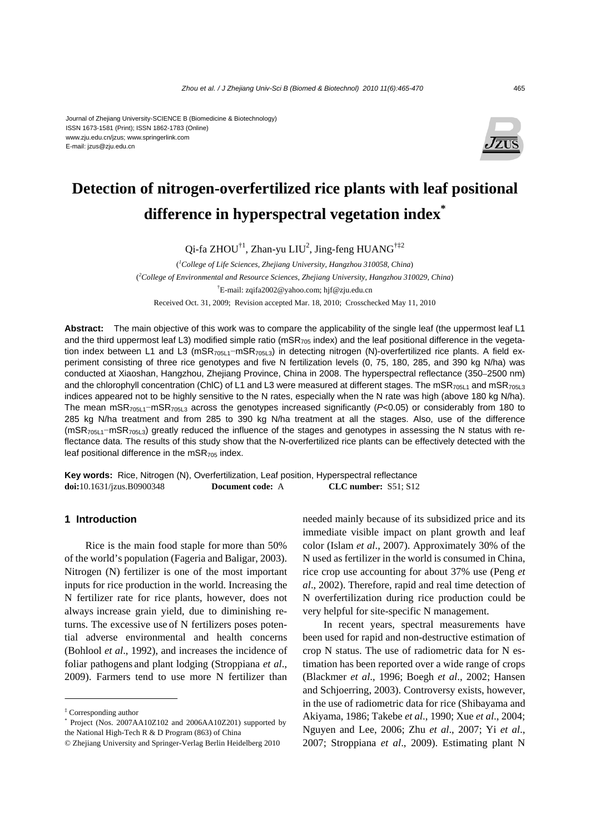#### Journal of Zhejiang University-SCIENCE B (Biomedicine & Biotechnology) ISSN 1673-1581 (Print); ISSN 1862-1783 (Online) www.zju.edu.cn/jzus; www.springerlink.com E-mail: jzus@zju.edu.cn



# **Detection of nitrogen-overfertilized rice plants with leaf positional difference in hyperspectral vegetation index\***

Qi-fa ZHOU<sup>†1</sup>, Zhan-yu LIU<sup>2</sup>, Jing-feng HUANG<sup>†‡2</sup>

( *1 College of Life Sciences, Zhejiang University, Hangzhou 310058, China*) ( *2 College of Environmental and Resource Sciences, Zhejiang University, Hangzhou 310029, China*) † E-mail: zqifa2002@yahoo.com; hjf@zju.edu.cn Received Oct. 31, 2009; Revision accepted Mar. 18, 2010; Crosschecked May 11, 2010

**Abstract:** The main objective of this work was to compare the applicability of the single leaf (the uppermost leaf L1 and the third uppermost leaf L3) modified simple ratio (mSR<sub>705</sub> index) and the leaf positional difference in the vegetation index between L1 and L3 (mSR<sub>705L1</sub>−mSR<sub>705L3</sub>) in detecting nitrogen (N)-overfertilized rice plants. A field experiment consisting of three rice genotypes and five N fertilization levels (0, 75, 180, 285, and 390 kg N/ha) was conducted at Xiaoshan, Hangzhou, Zhejiang Province, China in 2008. The hyperspectral reflectance (350–2500 nm) and the chlorophyll concentration (ChlC) of L1 and L3 were measured at different stages. The mSR<sub>705L1</sub> and mSR<sub>705L3</sub> indices appeared not to be highly sensitive to the N rates, especially when the N rate was high (above 180 kg N/ha). The mean mSR705L1−mSR705L3 across the genotypes increased significantly (*P*<0.05) or considerably from 180 to 285 kg N/ha treatment and from 285 to 390 kg N/ha treatment at all the stages. Also, use of the difference (mSR705L1−mSR705L3) greatly reduced the influence of the stages and genotypes in assessing the N status with reflectance data. The results of this study show that the N-overfertilized rice plants can be effectively detected with the leaf positional difference in the  $mSR<sub>705</sub>$  index.

**Key words:** Rice, Nitrogen (N), Overfertilization, Leaf position, Hyperspectral reflectance **doi:**10.1631/jzus.B0900348 **Document code:** A **CLC number:** S51; S12

## **1 Introduction**

Rice is the main food staple for more than 50% of the world's population (Fageria and Baligar, 2003). Nitrogen (N) fertilizer is one of the most important inputs for rice production in the world. Increasing the N fertilizer rate for rice plants, however, does not always increase grain yield, due to diminishing returns. The excessive use of N fertilizers poses potential adverse environmental and health concerns (Bohlool *et al*., 1992), and increases the incidence of foliar pathogens and plant lodging (Stroppiana *et al*., 2009). Farmers tend to use more N fertilizer than

needed mainly because of its subsidized price and its immediate visible impact on plant growth and leaf color (Islam *et al*., 2007). Approximately 30% of the N used as fertilizer in the world is consumed in China, rice crop use accounting for about 37% use (Peng *et al*., 2002). Therefore, rapid and real time detection of N overfertilization during rice production could be very helpful for site-specific N management.

In recent years, spectral measurements have been used for rapid and non-destructive estimation of crop N status. The use of radiometric data for N estimation has been reported over a wide range of crops (Blackmer *et al*., 1996; Boegh *et al*., 2002; Hansen and Schjoerring, 2003). Controversy exists, however, in the use of radiometric data for rice (Shibayama and Akiyama, 1986; Takebe *et al*., 1990; Xue *et al*., 2004; Nguyen and Lee, 2006; Zhu *et al*., 2007; Yi *et al*., 2007; Stroppiana *et al*., 2009). Estimating plant N

<sup>‡</sup> Corresponding author

<sup>\*</sup> Project (Nos. 2007AA10Z102 and 2006AA10Z201) supported by the National High-Tech R & D Program (863) of China

<sup>©</sup> Zhejiang University and Springer-Verlag Berlin Heidelberg 2010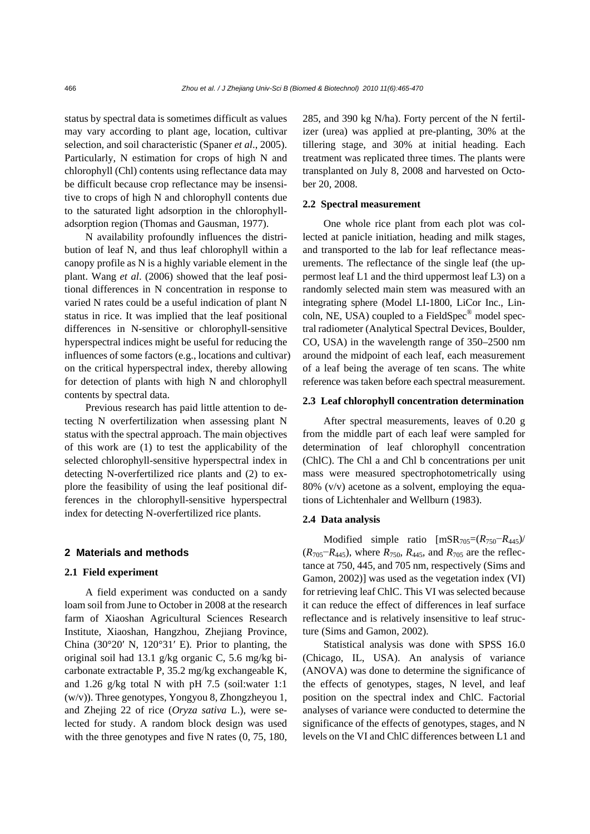status by spectral data is sometimes difficult as values may vary according to plant age, location, cultivar selection, and soil characteristic (Spaner *et al*., 2005). Particularly, N estimation for crops of high N and chlorophyll (Chl) contents using reflectance data may be difficult because crop reflectance may be insensitive to crops of high N and chlorophyll contents due to the saturated light adsorption in the chlorophylladsorption region (Thomas and Gausman, 1977).

N availability profoundly influences the distribution of leaf N, and thus leaf chlorophyll within a canopy profile as N is a highly variable element in the plant. Wang *et al*. (2006) showed that the leaf positional differences in N concentration in response to varied N rates could be a useful indication of plant N status in rice. It was implied that the leaf positional differences in N-sensitive or chlorophyll-sensitive hyperspectral indices might be useful for reducing the influences of some factors (e.g., locations and cultivar) on the critical hyperspectral index, thereby allowing for detection of plants with high N and chlorophyll contents by spectral data.

Previous research has paid little attention to detecting N overfertilization when assessing plant N status with the spectral approach. The main objectives of this work are (1) to test the applicability of the selected chlorophyll-sensitive hyperspectral index in detecting N-overfertilized rice plants and (2) to explore the feasibility of using the leaf positional differences in the chlorophyll-sensitive hyperspectral index for detecting N-overfertilized rice plants.

#### **2 Materials and methods**

#### **2.1 Field experiment**

A field experiment was conducted on a sandy loam soil from June to October in 2008 at the research farm of Xiaoshan Agricultural Sciences Research Institute, Xiaoshan, Hangzhou, Zhejiang Province, China  $(30°20' \text{ N}, 120°31' \text{ E})$ . Prior to planting, the original soil had 13.1 g/kg organic C, 5.6 mg/kg bicarbonate extractable P, 35.2 mg/kg exchangeable K, and 1.26 g/kg total N with pH 7.5 (soil:water 1:1 (w/v)). Three genotypes, Yongyou 8, Zhongzheyou 1, and Zhejing 22 of rice (*Oryza sativa* L.), were selected for study. A random block design was used with the three genotypes and five N rates  $(0, 75, 180, 180)$  285, and 390 kg N/ha). Forty percent of the N fertilizer (urea) was applied at pre-planting, 30% at the tillering stage, and 30% at initial heading. Each treatment was replicated three times. The plants were transplanted on July 8, 2008 and harvested on October 20, 2008.

## **2.2 Spectral measurement**

One whole rice plant from each plot was collected at panicle initiation, heading and milk stages, and transported to the lab for leaf reflectance measurements. The reflectance of the single leaf (the uppermost leaf L1 and the third uppermost leaf L3) on a randomly selected main stem was measured with an integrating sphere (Model LI-1800, LiCor Inc., Lincoln, NE, USA) coupled to a FieldSpec<sup>®</sup> model spectral radiometer (Analytical Spectral Devices, Boulder, CO, USA) in the wavelength range of 350–2500 nm around the midpoint of each leaf, each measurement of a leaf being the average of ten scans. The white reference was taken before each spectral measurement.

### **2.3 Leaf chlorophyll concentration determination**

After spectral measurements, leaves of 0.20 g from the middle part of each leaf were sampled for determination of leaf chlorophyll concentration (ChlC). The Chl a and Chl b concentrations per unit mass were measured spectrophotometrically using 80% (v/v) acetone as a solvent, employing the equations of Lichtenhaler and Wellburn (1983).

## **2.4 Data analysis**

Modified simple ratio [mSR705=(*R*750−*R*445)/ (*R*705−*R*445), where *R*750, *R*445, and *R*705 are the reflectance at 750, 445, and 705 nm, respectively (Sims and Gamon, 2002)] was used as the vegetation index (VI) for retrieving leaf ChlC. This VI was selected because it can reduce the effect of differences in leaf surface reflectance and is relatively insensitive to leaf structure (Sims and Gamon, 2002).

Statistical analysis was done with SPSS 16.0 (Chicago, IL, USA). An analysis of variance (ANOVA) was done to determine the significance of the effects of genotypes, stages, N level, and leaf position on the spectral index and ChlC. Factorial analyses of variance were conducted to determine the significance of the effects of genotypes, stages, and N levels on the VI and ChlC differences between L1 and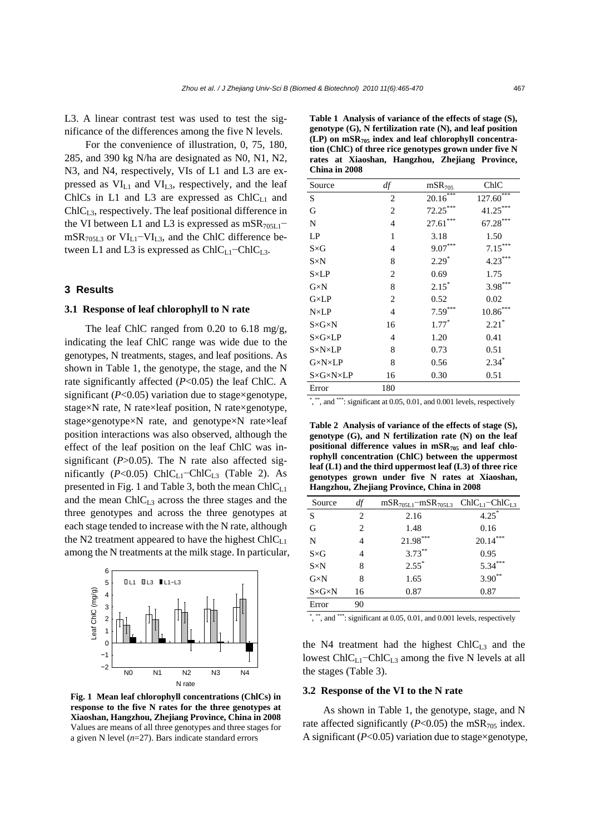L3. A linear contrast test was used to test the significance of the differences among the five N levels.

For the convenience of illustration, 0, 75, 180, 285, and 390 kg N/ha are designated as N0, N1, N2, N3, and N4, respectively, VIs of L1 and L3 are expressed as  $VI<sub>L1</sub>$  and  $VI<sub>L3</sub>$ , respectively, and the leaf ChlCs in L1 and L3 are expressed as  $ChIC<sub>L1</sub>$  and  $ChIC<sub>L3</sub>$ , respectively. The leaf positional difference in the VI between L1 and L3 is expressed as mSR<sub>705L1</sub> $$ mSR705L3 or VIL1−VIL3, and the ChlC difference between L1 and L3 is expressed as  $ChIC_{L1}-ChIC_{L3}$ .

## **3 Results**

# **3.1 Response of leaf chlorophyll to N rate**

The leaf ChlC ranged from 0.20 to 6.18 mg/g, indicating the leaf ChlC range was wide due to the genotypes, N treatments, stages, and leaf positions. As shown in Table 1, the genotype, the stage, and the N rate significantly affected (*P*<0.05) the leaf ChlC. A significant ( $P<0.05$ ) variation due to stage×genotype, stage×N rate, N rate×leaf position, N rate×genotype, stage×genotype×N rate, and genotype×N rate×leaf position interactions was also observed, although the effect of the leaf position on the leaf ChlC was insignificant (*P*>0.05). The N rate also affected significantly ( $P<0.05$ ) ChlC<sub>L1</sub>−ChlC<sub>L3</sub> (Table 2). As presented in Fig. 1 and Table 3, both the mean  $ChIC<sub>LI</sub>$ and the mean  $ChIC<sub>L3</sub>$  across the three stages and the three genotypes and across the three genotypes at each stage tended to increase with the N rate, although the N2 treatment appeared to have the highest  $ChIC<sub>LI</sub>$ among the N treatments at the milk stage. In particular,



**Fig. 1 Mean leaf chlorophyll concentrations (ChlCs) in response to the five N rates for the three genotypes at Xiaoshan, Hangzhou, Zhejiang Province, China in 2008** Values are means of all three genotypes and three stages for a given N level (*n*=27). Bars indicate standard errors

| China in 2008                   |                |                    |               |  |  |  |  |  |
|---------------------------------|----------------|--------------------|---------------|--|--|--|--|--|
| Source                          | df             | mSR <sub>705</sub> | ChIC          |  |  |  |  |  |
| S                               | 2              | $20.16***$         | ***<br>127.60 |  |  |  |  |  |
| G                               | $\overline{2}$ | $72.25***$         | 41.25***      |  |  |  |  |  |
| N                               | 4              | $27.61***$         | $67.28***$    |  |  |  |  |  |
| LP                              | 1              | 3.18               | 1.50          |  |  |  |  |  |
| $S \times G$                    | 4              | $9.07***$          | $7.15***$     |  |  |  |  |  |
| $S \times N$                    | 8              | $2.29*$            | $4.23***$     |  |  |  |  |  |
| $S\times LP$                    | 2              | 0.69               | 1.75          |  |  |  |  |  |
| $G \times N$                    | 8              | $2.15*$            | $3.98***$     |  |  |  |  |  |
| $G\times LP$                    | 2              | 0.52               | 0.02          |  |  |  |  |  |
| $N \times LP$                   | 4              | $7.59***$          | $10.86***$    |  |  |  |  |  |
| $S \times G \times N$           | 16             | $1.77*$            | $2.21*$       |  |  |  |  |  |
| $S \times G \times LP$          | 4              | 1.20               | 0.41          |  |  |  |  |  |
| $S \times N \times LP$          | 8              | 0.73               | 0.51          |  |  |  |  |  |
| $G\times N\times LP$            | 8              | 0.56               | $2.34*$       |  |  |  |  |  |
| $S \times G \times N \times LP$ | 16             | 0.30               | 0.51          |  |  |  |  |  |
| Error                           | 180            |                    |               |  |  |  |  |  |

**Table 1 Analysis of variance of the effects of stage (S), genotype (G), N fertilization rate (N), and leaf position (LP) on mSR705 index and leaf chlorophyll concentration (ChlC) of three rice genotypes grown under five N rates at Xiaoshan, Hangzhou, Zhejiang Province,** 

\* , \*\*, and \*\*\*: significant at 0.05, 0.01, and 0.001 levels, respectively

**Table 2 Analysis of variance of the effects of stage (S), genotype (G), and N fertilization rate (N) on the leaf**  positional difference values in mSR<sub>705</sub> and leaf chlo**rophyll concentration (ChlC) between the uppermost leaf (L1) and the third uppermost leaf (L3) of three rice genotypes grown under five N rates at Xiaoshan, Hangzhou, Zhejiang Province, China in 2008**

| Source                | df                            | $mSR_{705L1}$ – $mSR_{705L3}$ ChlC <sub>L1</sub> –ChlC <sub>L3</sub> |             |
|-----------------------|-------------------------------|----------------------------------------------------------------------|-------------|
| S                     | 2                             | 2.16                                                                 | $4.25^*$    |
| G                     | $\mathfrak{D}_{\mathfrak{p}}$ | 1.48                                                                 | 0.16        |
| N                     | 4                             | $21.98***$                                                           | $20.14***$  |
| $S \times G$          | 4                             | $3.73***$                                                            | 0.95        |
| $S \times N$          | 8                             | $2.55^*$                                                             | $5.34***$   |
| $G \times N$          | 8                             | 1.65                                                                 | $3.90^{**}$ |
| $S \times G \times N$ | 16                            | 0.87                                                                 | 0.87        |
| Error                 | 90                            |                                                                      |             |

\*, \*\*, and \*\*\*: significant at 0.05, 0.01, and 0.001 levels, respectively

the N4 treatment had the highest  $ChIC<sub>L3</sub>$  and the lowest  $ChIC_{L1}$ –Chl $C_{L3}$  among the five N levels at all the stages (Table 3).

#### **3.2 Response of the VI to the N rate**

As shown in Table 1, the genotype, stage, and N rate affected significantly ( $P < 0.05$ ) the mSR<sub>705</sub> index. A significant (*P*<0.05) variation due to stage×genotype,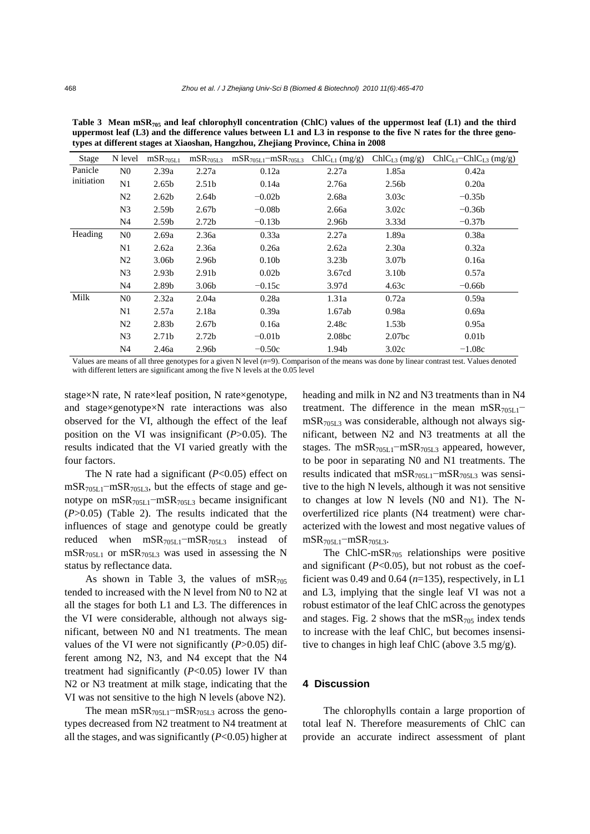| Stage                 | N level        | $mSR$ <sub>705L1</sub> | mSR <sub>705L3</sub> | $mSR_{705L1}$ – $mSR_{705L3}$ | $ChIC_{L1}$ (mg/g) | $ChIC_{L3} (mg/g)$ | $ChIC_{L1}$ -Chl $C_{L3}$ (mg/g) |
|-----------------------|----------------|------------------------|----------------------|-------------------------------|--------------------|--------------------|----------------------------------|
| Panicle<br>initiation | N <sub>0</sub> | 2.39a                  | 2.27a                | 0.12a                         | 2.27a              | 1.85a              | 0.42a                            |
|                       | N1             | 2.65 <sub>b</sub>      | 2.51 <sub>b</sub>    | 0.14a                         | 2.76a              | 2.56b              | 0.20a                            |
|                       | N <sub>2</sub> | 2.62 <sub>b</sub>      | 2.64b                | $-0.02b$                      | 2.68a              | 3.03c              | $-0.35b$                         |
|                       | N <sub>3</sub> | 2.59 <sub>b</sub>      | 2.67 <sub>b</sub>    | $-0.08b$                      | 2.66a              | 3.02c              | $-0.36b$                         |
|                       | N4             | 2.59 <sub>b</sub>      | 2.72 <sub>b</sub>    | $-0.13b$                      | 2.96b              | 3.33d              | $-0.37b$                         |
| Heading               | N <sub>0</sub> | 2.69a                  | 2.36a                | 0.33a                         | 2.27a              | 1.89a              | 0.38a                            |
|                       | N1             | 2.62a                  | 2.36a                | 0.26a                         | 2.62a              | 2.30a              | 0.32a                            |
|                       | N <sub>2</sub> | 3.06 <sub>b</sub>      | 2.96b                | 0.10 <sub>b</sub>             | 3.23 <sub>b</sub>  | 3.07 <sub>b</sub>  | 0.16a                            |
|                       | N <sub>3</sub> | 2.93 <sub>b</sub>      | 2.91b                | 0.02 <sub>b</sub>             | 3.67cd             | 3.10 <sub>b</sub>  | 0.57a                            |
|                       | N4             | 2.89 <sub>b</sub>      | 3.06 <sub>b</sub>    | $-0.15c$                      | 3.97d              | 4.63c              | $-0.66b$                         |
| Milk                  | N <sub>0</sub> | 2.32a                  | 2.04a                | 0.28a                         | 1.31a              | 0.72a              | 0.59a                            |
|                       | N1             | 2.57a                  | 2.18a                | 0.39a                         | 1.67ab             | 0.98a              | 0.69a                            |
|                       | N <sub>2</sub> | 2.83 <sub>b</sub>      | 2.67 <sub>b</sub>    | 0.16a                         | 2.48c              | 1.53 <sub>b</sub>  | 0.95a                            |
|                       | N <sub>3</sub> | 2.71 <sub>b</sub>      | 2.72 <sub>b</sub>    | $-0.01b$                      | 2.08 <sub>bc</sub> | 2.07 <sub>bc</sub> | 0.01 <sub>b</sub>                |
|                       | N4             | 2.46a                  | 2.96b                | $-0.50c$                      | 1.94b              | 3.02c              | $-1.08c$                         |
| $- - -$               |                | 0.11.1                 |                      |                               | $\sim$ $\sim$      |                    |                                  |

Table 3 Mean mSR<sub>705</sub> and leaf chlorophyll concentration (ChlC) values of the uppermost leaf (L1) and the third **uppermost leaf (L3) and the difference values between L1 and L3 in response to the five N rates for the three genotypes at different stages at Xiaoshan, Hangzhou, Zhejiang Province, China in 2008** 

Values are means of all three genotypes for a given N level (*n*=9). Comparison of the means was done by linear contrast test. Values denoted with different letters are significant among the five N levels at the 0.05 level

stage×N rate, N rate×leaf position, N rate×genotype, and stage×genotype×N rate interactions was also observed for the VI, although the effect of the leaf position on the VI was insignificant (*P*>0.05). The results indicated that the VI varied greatly with the four factors.

The N rate had a significant (*P*<0.05) effect on  $mSR_{705L1}$ −mSR<sub>705L3</sub>, but the effects of stage and genotype on mSR<sub>705L1</sub>−mSR<sub>705L3</sub> became insignificant (*P*>0.05) (Table 2). The results indicated that the influences of stage and genotype could be greatly reduced when mSR705L1−mSR705L3 instead of  $mSR_{705L1}$  or  $mSR_{705L3}$  was used in assessing the N status by reflectance data.

As shown in Table 3, the values of  $mSR<sub>705</sub>$ tended to increased with the N level from N0 to N2 at all the stages for both L1 and L3. The differences in the VI were considerable, although not always significant, between N0 and N1 treatments. The mean values of the VI were not significantly (*P*>0.05) different among N2, N3, and N4 except that the N4 treatment had significantly (*P*<0.05) lower IV than N2 or N3 treatment at milk stage, indicating that the VI was not sensitive to the high N levels (above N2).

The mean mSR<sub>705L1</sub> $-mSR_{705L3}$  across the genotypes decreased from N2 treatment to N4 treatment at all the stages, and was significantly (*P*<0.05) higher at heading and milk in N2 and N3 treatments than in N4 treatment. The difference in the mean mSR $_{705L1}$ − mSR705L3 was considerable, although not always significant, between N2 and N3 treatments at all the stages. The mSR<sub>705L1</sub>-mSR<sub>705L3</sub> appeared, however, to be poor in separating N0 and N1 treatments. The results indicated that mSR705L1−mSR705L3 was sensitive to the high N levels, although it was not sensitive to changes at low N levels (N0 and N1). The Noverfertilized rice plants (N4 treatment) were characterized with the lowest and most negative values of  $mSR_{705L1}-mSR_{705L3}$ .

The ChlC-mSR $_{705}$  relationships were positive and significant  $(P<0.05)$ , but not robust as the coefficient was 0.49 and 0.64 (*n*=135), respectively, in L1 and L3, implying that the single leaf VI was not a robust estimator of the leaf ChlC across the genotypes and stages. Fig. 2 shows that the  $mSR_{705}$  index tends to increase with the leaf ChlC, but becomes insensitive to changes in high leaf ChlC (above 3.5 mg/g).

## **4 Discussion**

The chlorophylls contain a large proportion of total leaf N. Therefore measurements of ChlC can provide an accurate indirect assessment of plant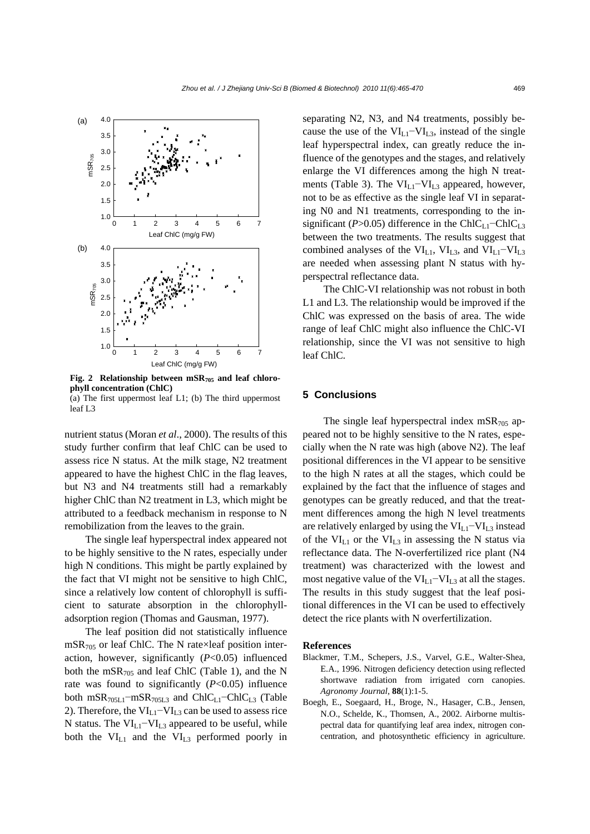

Fig. 2 Relationship between mSR<sub>705</sub> and leaf chloro**phyll concentration (ChlC)**  (a) The first uppermost leaf L1; (b) The third uppermost

leaf L3

nutrient status (Moran *et al*., 2000). The results of this study further confirm that leaf ChlC can be used to assess rice N status. At the milk stage, N2 treatment appeared to have the highest ChlC in the flag leaves, but N3 and N4 treatments still had a remarkably higher ChlC than N2 treatment in L3, which might be attributed to a feedback mechanism in response to N remobilization from the leaves to the grain.

The single leaf hyperspectral index appeared not to be highly sensitive to the N rates, especially under high N conditions. This might be partly explained by the fact that VI might not be sensitive to high ChlC, since a relatively low content of chlorophyll is sufficient to saturate absorption in the chlorophylladsorption region (Thomas and Gausman, 1977).

The leaf position did not statistically influence  $mSR<sub>705</sub>$  or leaf ChlC. The N rate×leaf position interaction, however, significantly (*P*<0.05) influenced both the  $mSR_{705}$  and leaf ChlC (Table 1), and the N rate was found to significantly  $(P<0.05)$  influence both mSR<sub>705L1</sub>−mSR<sub>705L3</sub> and ChlC<sub>L1</sub>−ChlC<sub>L3</sub> (Table 2). Therefore, the  $VI_{L1}$ - $VI_{L3}$  can be used to assess rice N status. The VIL1−VIL3 appeared to be useful, while both the  $VI_{L1}$  and the  $VI_{L3}$  performed poorly in separating N2, N3, and N4 treatments, possibly because the use of the  $VI<sub>L1</sub>–VI<sub>L3</sub>$ , instead of the single leaf hyperspectral index, can greatly reduce the influence of the genotypes and the stages, and relatively enlarge the VI differences among the high N treatments (Table 3). The VI<sub>L1</sub>−VI<sub>L3</sub> appeared, however, not to be as effective as the single leaf VI in separating N0 and N1 treatments, corresponding to the insignificant ( $P > 0.05$ ) difference in the ChlC<sub>L1</sub>–ChlC<sub>L3</sub> between the two treatments. The results suggest that combined analyses of the  $VI<sub>L1</sub>$ ,  $VI<sub>L3</sub>$ , and  $VI<sub>L1</sub>–VI<sub>L3</sub>$ are needed when assessing plant N status with hyperspectral reflectance data.

The ChlC-VI relationship was not robust in both L1 and L3. The relationship would be improved if the ChlC was expressed on the basis of area. The wide range of leaf ChlC might also influence the ChlC-VI relationship, since the VI was not sensitive to high leaf ChlC.

# **5 Conclusions**

The single leaf hyperspectral index  $mSR_{705}$  appeared not to be highly sensitive to the N rates, especially when the N rate was high (above N2). The leaf positional differences in the VI appear to be sensitive to the high N rates at all the stages, which could be explained by the fact that the influence of stages and genotypes can be greatly reduced, and that the treatment differences among the high N level treatments are relatively enlarged by using the  $VI_{L1}-VI_{L3}$  instead of the  $VI<sub>L1</sub>$  or the  $VI<sub>L3</sub>$  in assessing the N status via reflectance data. The N-overfertilized rice plant (N4 treatment) was characterized with the lowest and most negative value of the  $VI<sub>L1</sub>–VI<sub>L3</sub>$  at all the stages. The results in this study suggest that the leaf positional differences in the VI can be used to effectively detect the rice plants with N overfertilization.

#### **References**

- Blackmer, T.M., Schepers, J.S., Varvel, G.E., Walter-Shea, E.A., 1996. Nitrogen deficiency detection using reflected shortwave radiation from irrigated corn canopies. *Agronomy Journal*, **88**(1):1-5.
- Boegh, E., Soegaard, H., Broge, N., Hasager, C.B., Jensen, N.O., Schelde, K., Thomsen, A., 2002. Airborne multispectral data for quantifying leaf area index, nitrogen concentration, and photosynthetic efficiency in agriculture.